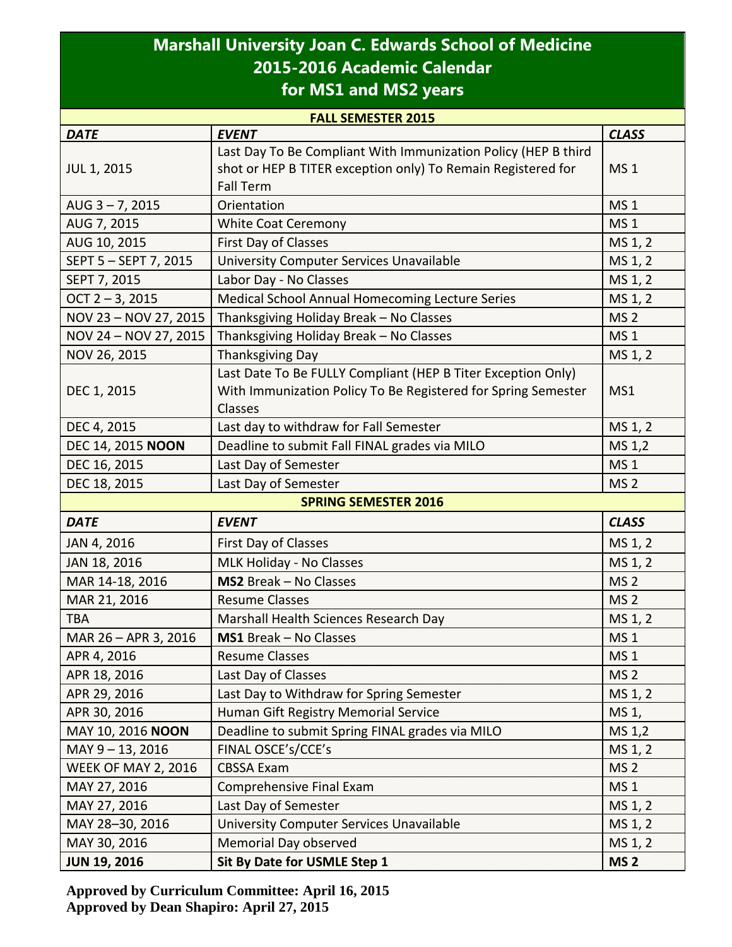## **Marshall University Joan C. Edwards School of Medicine 2015-2016 Academic Calendar for MS1 and MS2 years**

| <b>FALL SEMESTER 2015</b>  |                                                                |                 |  |
|----------------------------|----------------------------------------------------------------|-----------------|--|
| <b>DATE</b>                | <b>EVENT</b>                                                   | <b>CLASS</b>    |  |
|                            | Last Day To Be Compliant With Immunization Policy (HEP B third |                 |  |
| <b>JUL 1, 2015</b>         | shot or HEP B TITER exception only) To Remain Registered for   | MS <sub>1</sub> |  |
|                            | <b>Fall Term</b>                                               |                 |  |
| $AUG$ 3 - 7, 2015          | Orientation                                                    | <b>MS1</b>      |  |
| AUG 7, 2015                | <b>White Coat Ceremony</b>                                     | <b>MS1</b>      |  |
| AUG 10, 2015               | <b>First Day of Classes</b>                                    | MS 1, 2         |  |
| SEPT 5 - SEPT 7, 2015      | University Computer Services Unavailable<br>MS 1, 2            |                 |  |
| SEPT 7, 2015               | Labor Day - No Classes<br>MS 1, 2                              |                 |  |
| $OCT$ 2 - 3, 2015          | Medical School Annual Homecoming Lecture Series<br>MS 1, 2     |                 |  |
| NOV 23 - NOV 27, 2015      | Thanksgiving Holiday Break - No Classes<br>MS <sub>2</sub>     |                 |  |
| NOV 24 - NOV 27, 2015      | Thanksgiving Holiday Break - No Classes                        | <b>MS1</b>      |  |
| NOV 26, 2015               | <b>Thanksgiving Day</b>                                        | MS 1, 2         |  |
|                            | Last Date To Be FULLY Compliant (HEP B Titer Exception Only)   |                 |  |
| DEC 1, 2015                | With Immunization Policy To Be Registered for Spring Semester  | MS1             |  |
|                            | Classes                                                        |                 |  |
| DEC 4, 2015                | Last day to withdraw for Fall Semester                         | MS 1, 2         |  |
| DEC 14, 2015 NOON          | Deadline to submit Fall FINAL grades via MILO                  | MS 1,2          |  |
| DEC 16, 2015               | Last Day of Semester                                           | <b>MS1</b>      |  |
| DEC 18, 2015               | Last Day of Semester                                           | MS <sub>2</sub> |  |
|                            | <b>SPRING SEMESTER 2016</b>                                    |                 |  |
| <b>DATE</b>                | <b>EVENT</b>                                                   | <b>CLASS</b>    |  |
| JAN 4, 2016                | <b>First Day of Classes</b>                                    | MS 1, 2         |  |
| JAN 18, 2016               | MLK Holiday - No Classes                                       | MS 1, 2         |  |
| MAR 14-18, 2016            | <b>MS2</b> Break - No Classes<br>MS <sub>2</sub>               |                 |  |
| MAR 21, 2016               | <b>Resume Classes</b>                                          | MS <sub>2</sub> |  |
| <b>TBA</b>                 | Marshall Health Sciences Research Day                          | MS 1, 2         |  |
| MAR 26 - APR 3, 2016       | <b>MS1</b> Break - No Classes                                  | <b>MS1</b>      |  |
| APR 4, 2016                | <b>Resume Classes</b>                                          | <b>MS1</b>      |  |
| APR 18, 2016               | Last Day of Classes                                            | MS <sub>2</sub> |  |
| APR 29, 2016               | Last Day to Withdraw for Spring Semester                       | MS 1, 2         |  |
| APR 30, 2016               | Human Gift Registry Memorial Service                           | MS 1,           |  |
| MAY 10, 2016 NOON          | Deadline to submit Spring FINAL grades via MILO                | MS 1,2          |  |
| MAY 9-13, 2016             | FINAL OSCE's/CCE's                                             | MS 1, 2         |  |
| <b>WEEK OF MAY 2, 2016</b> | <b>CBSSA Exam</b>                                              | MS <sub>2</sub> |  |
| MAY 27, 2016               | Comprehensive Final Exam                                       | <b>MS1</b>      |  |
| MAY 27, 2016               | Last Day of Semester                                           | MS 1, 2         |  |
| MAY 28-30, 2016            | University Computer Services Unavailable                       | MS 1, 2         |  |
| MAY 30, 2016               | <b>Memorial Day observed</b>                                   | MS 1, 2         |  |
| <b>JUN 19, 2016</b>        | Sit By Date for USMLE Step 1                                   | MS <sub>2</sub> |  |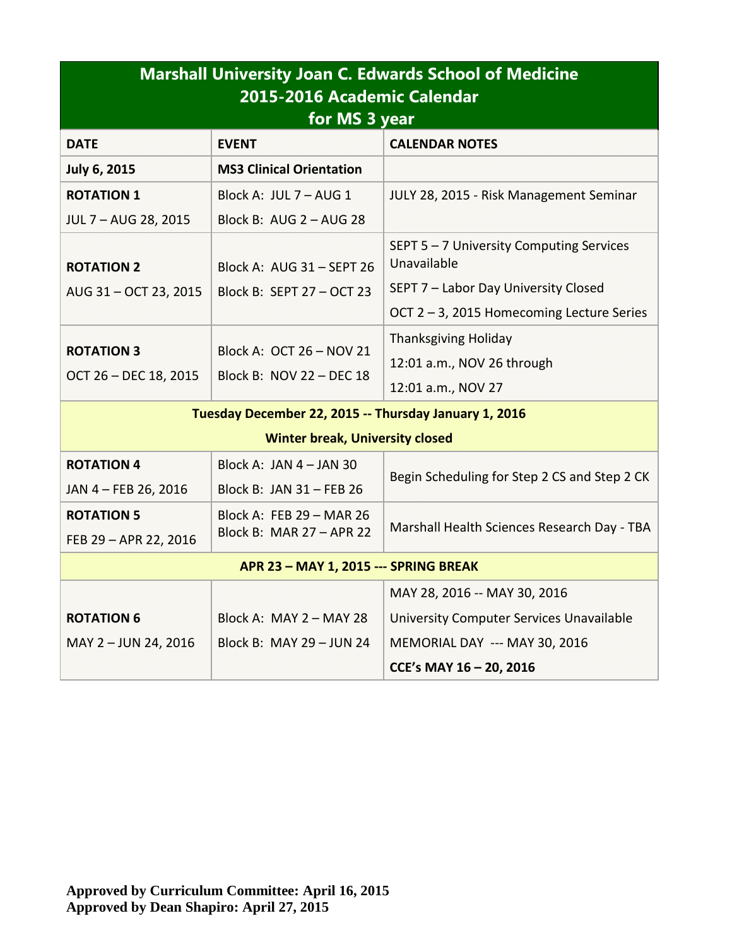| <b>Marshall University Joan C. Edwards School of Medicine</b><br>2015-2016 Academic Calendar<br>for MS 3 year |                                                      |                                                       |  |  |
|---------------------------------------------------------------------------------------------------------------|------------------------------------------------------|-------------------------------------------------------|--|--|
| <b>DATE</b>                                                                                                   | <b>EVENT</b>                                         | <b>CALENDAR NOTES</b>                                 |  |  |
| <b>July 6, 2015</b>                                                                                           | <b>MS3 Clinical Orientation</b>                      |                                                       |  |  |
| <b>ROTATION 1</b>                                                                                             | Block A: JUL 7 - AUG 1                               | JULY 28, 2015 - Risk Management Seminar               |  |  |
| JUL 7 - AUG 28, 2015                                                                                          | Block B: AUG 2 - AUG 28                              |                                                       |  |  |
| <b>ROTATION 2</b>                                                                                             | Block A: AUG 31 - SEPT 26                            | SEPT 5-7 University Computing Services<br>Unavailable |  |  |
| AUG 31-OCT 23, 2015                                                                                           | Block B: SEPT 27 - OCT 23                            | SEPT 7 - Labor Day University Closed                  |  |  |
|                                                                                                               |                                                      | OCT 2 - 3, 2015 Homecoming Lecture Series             |  |  |
| <b>ROTATION 3</b>                                                                                             | Block A: OCT 26 - NOV 21<br>Block B: NOV 22 - DEC 18 | <b>Thanksgiving Holiday</b>                           |  |  |
| OCT 26 - DEC 18, 2015                                                                                         |                                                      | 12:01 a.m., NOV 26 through                            |  |  |
|                                                                                                               |                                                      | 12:01 a.m., NOV 27                                    |  |  |
| Tuesday December 22, 2015 -- Thursday January 1, 2016                                                         |                                                      |                                                       |  |  |
| <b>Winter break, University closed</b>                                                                        |                                                      |                                                       |  |  |
| <b>ROTATION 4</b>                                                                                             | Block A: JAN $4 -$ JAN 30                            | Begin Scheduling for Step 2 CS and Step 2 CK          |  |  |
| JAN 4 - FEB 26, 2016                                                                                          | Block B: JAN 31 - FEB 26                             |                                                       |  |  |
| <b>ROTATION 5</b>                                                                                             | Block A: FEB 29 - MAR 26                             | Marshall Health Sciences Research Day - TBA           |  |  |
| FEB 29 - APR 22, 2016                                                                                         | Block B: MAR 27 - APR 22                             |                                                       |  |  |
| APR 23 - MAY 1, 2015 --- SPRING BREAK                                                                         |                                                      |                                                       |  |  |
|                                                                                                               |                                                      | MAY 28, 2016 -- MAY 30, 2016                          |  |  |
| <b>ROTATION 6</b>                                                                                             | Block A: MAY 2 - MAY 28                              | University Computer Services Unavailable              |  |  |
| MAY 2 - JUN 24, 2016                                                                                          | Block B: MAY 29 - JUN 24                             | MEMORIAL DAY --- MAY 30, 2016                         |  |  |
|                                                                                                               |                                                      | CCE's MAY 16 - 20, 2016                               |  |  |